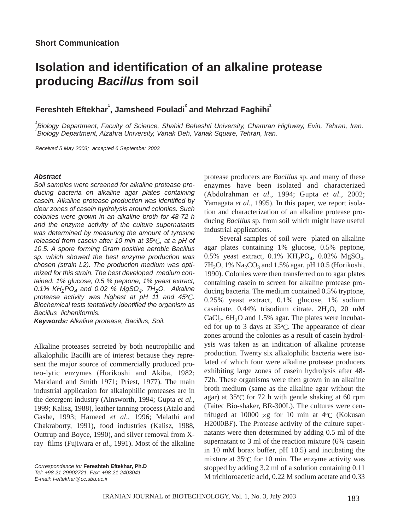## **Isolation and identification of an alkaline protease producing** *Bacillus* **from soil**

 $\mathsf{F}$ ereshteh Eftekhar $^\mathsf{i}$ , Jamsheed Fouladi $^\mathsf{i}$  and Mehrzad Faghihi $^\mathsf{i}$ 

*1 Biology Department, Faculty of Science, Shahid Beheshti University, Chamran Highway, Evin, Tehran, Iran. 2 Biology Department, Alzahra University, Vanak Deh, Vanak Square, Tehran, Iran.*

*Received 5 May 2003; accepted 6 September 2003*

## *Abstract*

*Soil samples were screened for alkaline protease producing bacteria on alkaline agar plates containing casein. Alkaline protease production was identified by clear zones of casein hydrolysis around colonies. Such colonies were grown in an alkaline broth for 48-72 h and the enzyme activity of the culture supernatants was determined by measuring the amount of tyrosine released from casein after 10 min at 35*º*C, at a pH of 10.5. A spore forming Gram positive aerobic Bacillus sp. which showed the best enzyme production was chosen (strain L2). The production medium was optimized for this strain. The best developed medium contained: 1% glucose, 0.5 % peptone, 1% yeast extract,* 0.1% KH<sub>2</sub>PO<sub>4</sub> and 0.02 % MgSO<sub>4</sub>. 7H<sub>2</sub>O. Alkaline *protease activity was highest at pH 11 and 45*º*C. Biochemical tests tentatively identified the organism as Bacillus licheniformis.*

*Keywords: Alkaline protease, Bacillus, Soil.*

Alkaline proteases secreted by both neutrophilic and alkalophilic Bacilli are of interest because they represent the major source of commercially produced proteo-lytic enzymes (Horikoshi and Akiba, 1982; Markland and Smith 1971; Priest, 1977). The main industrial application for alkalophilic proteases are in the detergent industry (Ainsworth, 1994; Gupta *et al*., 1999; Kalisz, 1988), leather tanning process (Atalo and Gashe, 1993; Hameed *et al*., 1996; Malathi and Chakraborty, 1991), food industries (Kalisz, 1988, Outtrup and Boyce, 1990), and silver removal from Xray films (Fujiwara *et al*., 1991). Most of the alkaline

*Correspondence to:* **Fereshteh Eftekhar, Ph.D** *Tel: +98 21 29902721, Fax: +98 21 2403041 E-mail: f-eftekhar@cc.sbu.ac.ir*

protease producers are *Bacillus* sp. and many of these enzymes have been isolated and characterized (Abdolrahman *et al*., 1994; Gupta *et al*., 2002; Yamagata *et al*., 1995). In this paper, we report isolation and characterization of an alkaline protease producing *Bacillus* sp. from soil which might have useful industrial applications.

Several samples of soil were plated on alkaline agar plates containing 1% glucose, 0.5% peptone, 0.5% yeast extract, 0.1% KH<sub>2</sub>PO<sub>4</sub>, 0.02% MgSO<sub>4</sub>. 7H<sub>2</sub>O, 1% Na<sub>2</sub>CO<sub>3</sub> and 1.5% agar, pH 10.5 (Horikoshi, 1990). Colonies were then transferred on to agar plates containing casein to screen for alkaline protease producing bacteria. The medium contained 0.5% tryptone, 0.25% yeast extract, 0.1% glucose, 1% sodium caseinate,  $0.44\%$  trisodium citrate.  $2H_2O$ ,  $20 \text{ mM}$ CaCl<sub>2</sub>.  $6H<sub>2</sub>O$  and 1.5% agar. The plates were incubated for up to 3 days at 35ºC. The appearance of clear zones around the colonies as a result of casein hydrolysis was taken as an indication of alkaline protease production. Twenty six alkalophilic bacteria were isolated of which four were alkaline protease producers exhibiting large zones of casein hydrolysis after 48- 72h. These organisms were then grown in an alkaline broth medium (same as the alkaline agar without the agar) at 35ºC for 72 h with gentle shaking at 60 rpm (Taitec Bio-shaker, BR-300L). The cultures were centrifuged at  $10000 \times g$  for 10 min at 4°C (Kokusan H2000BF). The Protease activity of the culture supernatants were then determined by adding 0.5 ml of the supernatant to 3 ml of the reaction mixture (6% casein in 10 mM borax buffer, pH 10.5) and incubating the mixture at 35ºC for 10 min. The enzyme activity was stopped by adding 3.2 ml of a solution containing 0.11 M trichloroacetic acid, 0.22 M sodium acetate and 0.33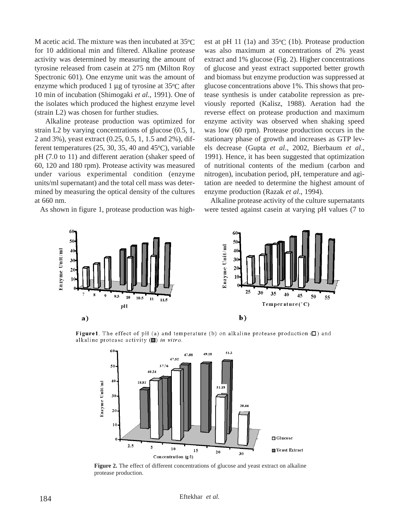M acetic acid. The mixture was then incubated at 35ºC for 10 additional min and filtered. Alkaline protease activity was determined by measuring the amount of tyrosine released from casein at 275 nm (Milton Roy Spectronic 601). One enzyme unit was the amount of enzyme which produced 1 µg of tyrosine at 35ºC after 10 min of incubation (Shimogaki *et al.*, 1991). One of the isolates which produced the highest enzyme level (strain L2) was chosen for further studies.

Alkaline protease production was optimized for strain L2 by varying concentrations of glucose (0.5, 1, 2 and 3%), yeast extract (0.25, 0.5, 1, 1.5 and 2%), different temperatures (25, 30, 35, 40 and 45ºC), variable pH (7.0 to 11) and different aeration (shaker speed of 60, 120 and 180 rpm). Protease activity was measured under various experimental condition (enzyme units/ml supernatant) and the total cell mass was determined by measuring the optical density of the cultures at 660 nm.

As shown in figure 1, protease production was high-

est at pH 11 (1a) and 35ºC (1b). Protease production was also maximum at concentrations of 2% yeast extract and 1% glucose (Fig. 2). Higher concentrations of glucose and yeast extract supported better growth and biomass but enzyme production was suppressed at glucose concentrations above 1%. This shows that protease synthesis is under catabolite repression as previously reported (Kalisz, 1988). Aeration had the reverse effect on protease production and maximum enzyme activity was observed when shaking speed was low (60 rpm). Protease production occurs in the stationary phase of growth and increases as GTP levels decrease (Gupta *et al*., 2002, Bierbaum *et al*., 1991). Hence, it has been suggested that optimization of nutritional contents of the medium (carbon and nitrogen), incubation period, pH, temperature and agitation are needed to determine the highest amount of enzyme production (Razak *et al*., 1994).

Alkaline protease activity of the culture supernatants were tested against casein at varying pH values (7 to



**Figure 1.** The effect of pH (a) and temperature (b) on alkaline protease production  $\Box$ ) and alkaline protease activity  $(\blacksquare)$  in vitro.



Figure 2. The effect of different concentrations of glucose and yeast extract on alkaline protease production.